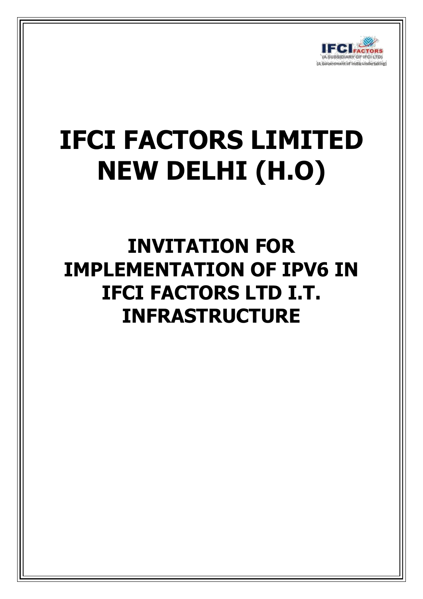

# **IFCI FACTORS LIMITED NEW DELHI (H.O)**

**INVITATION FOR IMPLEMENTATION OF IPV6 IN IFCI FACTORS LTD I.T. INFRASTRUCTURE**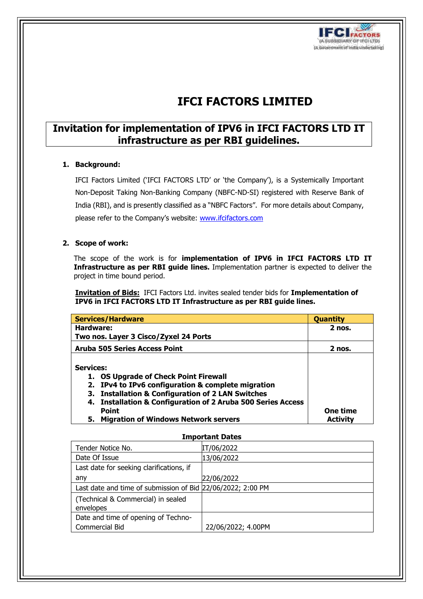

## **IFCI FACTORS LIMITED**

### **Invitation for implementation of IPV6 in IFCI FACTORS LTD IT infrastructure as per RBI guidelines.**

#### **1. Background:**

IFCI Factors Limited ('IFCI FACTORS LTD' or 'the Company'), is a Systemically Important Non-Deposit Taking Non-Banking Company (NBFC-ND-SI) registered with Reserve Bank of India (RBI), and is presently classified as a "NBFC Factors". For more details about Company, please refer to the Company's website: [www.ifcifactors.com](http://www.ifcifactors.com/)

#### **2. Scope of work:**

The scope of the work is for **implementation of IPV6 in IFCI FACTORS LTD IT Infrastructure as per RBI guide lines.** Implementation partner is expected to deliver the project in time bound period.

**Invitation of Bids:** IFCI Factors Ltd. invites sealed tender bids for **Implementation of IPV6 in IFCI FACTORS LTD IT Infrastructure as per RBI guide lines.**

| Services/Hardware                                                   | <b>Quantity</b> |
|---------------------------------------------------------------------|-----------------|
| Hardware:                                                           | $2$ nos.        |
| Two nos. Layer 3 Cisco/Zyxel 24 Ports                               |                 |
| <b>Aruba 505 Series Access Point</b>                                | $2$ nos.        |
| <b>Services:</b><br><b>OS Upgrade of Check Point Firewall</b><br>1. |                 |
| 2. IPv4 to IPv6 configuration & complete migration                  |                 |
| 3. Installation & Configuration of 2 LAN Switches                   |                 |
| 4. Installation & Configuration of 2 Aruba 500 Series Access        |                 |
| <b>Point</b>                                                        | One time        |
| 5. Migration of Windows Network servers                             | <b>Activity</b> |

#### **Important Dates**

| Tender Notice No.                                           | IT/06/2022         |
|-------------------------------------------------------------|--------------------|
| Date Of Issue                                               | 13/06/2022         |
| Last date for seeking clarifications, if                    |                    |
| any                                                         | 22/06/2022         |
| Last date and time of submission of Bid 22/06/2022; 2:00 PM |                    |
| (Technical & Commercial) in sealed                          |                    |
| envelopes                                                   |                    |
| Date and time of opening of Techno-                         |                    |
| Commercial Bid                                              | 22/06/2022; 4.00PM |